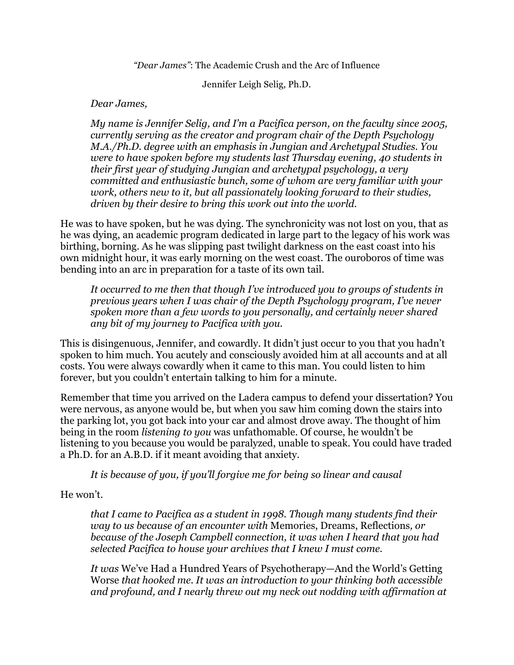*"Dear James"*: The Academic Crush and the Arc of Influence

Jennifer Leigh Selig, Ph.D.

*Dear James,*

*My name is Jennifer Selig, and I'm a Pacifica person, on the faculty since 2005, currently serving as the creator and program chair of the Depth Psychology M.A./Ph.D. degree with an emphasis in Jungian and Archetypal Studies. You were to have spoken before my students last Thursday evening, 40 students in their first year of studying Jungian and archetypal psychology, a very committed and enthusiastic bunch, some of whom are very familiar with your work, others new to it, but all passionately looking forward to their studies, driven by their desire to bring this work out into the world.*

He was to have spoken, but he was dying. The synchronicity was not lost on you, that as he was dying, an academic program dedicated in large part to the legacy of his work was birthing, borning. As he was slipping past twilight darkness on the east coast into his own midnight hour, it was early morning on the west coast. The ouroboros of time was bending into an arc in preparation for a taste of its own tail.

*It occurred to me then that though I've introduced you to groups of students in previous years when I was chair of the Depth Psychology program, I've never spoken more than a few words to you personally, and certainly never shared any bit of my journey to Pacifica with you.* 

This is disingenuous, Jennifer, and cowardly. It didn't just occur to you that you hadn't spoken to him much. You acutely and consciously avoided him at all accounts and at all costs. You were always cowardly when it came to this man. You could listen to him forever, but you couldn't entertain talking to him for a minute.

Remember that time you arrived on the Ladera campus to defend your dissertation? You were nervous, as anyone would be, but when you saw him coming down the stairs into the parking lot, you got back into your car and almost drove away. The thought of him being in the room *listening to you* was unfathomable. Of course, he wouldn't be listening to you because you would be paralyzed, unable to speak. You could have traded a Ph.D. for an A.B.D. if it meant avoiding that anxiety.

*It is because of you, if you'll forgive me for being so linear and causal*

He won't.

*that I came to Pacifica as a student in 1998. Though many students find their way to us because of an encounter with* Memories, Dreams, Reflections*, or because of the Joseph Campbell connection, it was when I heard that you had selected Pacifica to house your archives that I knew I must come.* 

*It was* We've Had a Hundred Years of Psychotherapy—And the World's Getting Worse *that hooked me. It was an introduction to your thinking both accessible and profound, and I nearly threw out my neck out nodding with affirmation at*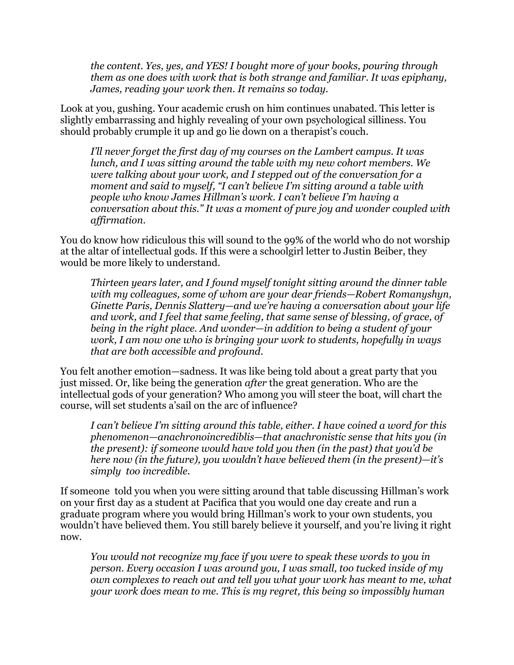*the content. Yes, yes, and YES! I bought more of your books, pouring through them as one does with work that is both strange and familiar. It was epiphany, James, reading your work then. It remains so today.*

Look at you, gushing. Your academic crush on him continues unabated. This letter is slightly embarrassing and highly revealing of your own psychological silliness. You should probably crumple it up and go lie down on a therapist's couch.

*I'll never forget the first day of my courses on the Lambert campus. It was lunch, and I was sitting around the table with my new cohort members. We were talking about your work, and I stepped out of the conversation for a moment and said to myself, "I can't believe I'm sitting around a table with people who know James Hillman's work. I can't believe I'm having a conversation about this." It was a moment of pure joy and wonder coupled with affirmation.*

You do know how ridiculous this will sound to the 99% of the world who do not worship at the altar of intellectual gods. If this were a schoolgirl letter to Justin Beiber, they would be more likely to understand.

*Thirteen years later, and I found myself tonight sitting around the dinner table with my colleagues, some of whom are your dear friends—Robert Romanyshyn, Ginette Paris, Dennis Slattery—and we're having a conversation about your life and work, and I feel that same feeling, that same sense of blessing, of grace, of being in the right place. And wonder—in addition to being a student of your work, I am now one who is bringing your work to students, hopefully in ways that are both accessible and profound.* 

You felt another emotion—sadness. It was like being told about a great party that you just missed. Or, like being the generation *after* the great generation. Who are the intellectual gods of your generation? Who among you will steer the boat, will chart the course, will set students a'sail on the arc of influence?

*I can't believe I'm sitting around this table, either. I have coined a word for this phenomenon—anachronoincrediblis—that anachronistic sense that hits you (in the present): if someone would have told you then (in the past) that you'd be here now (in the future), you wouldn't have believed them (in the present)—it's simply too incredible.*

If someone told you when you were sitting around that table discussing Hillman's work on your first day as a student at Pacifica that you would one day create and run a graduate program where you would bring Hillman's work to your own students, you wouldn't have believed them. You still barely believe it yourself, and you're living it right now.

*You would not recognize my face if you were to speak these words to you in person. Every occasion I was around you, I was small, too tucked inside of my own complexes to reach out and tell you what your work has meant to me, what your work does mean to me. This is my regret, this being so impossibly human*